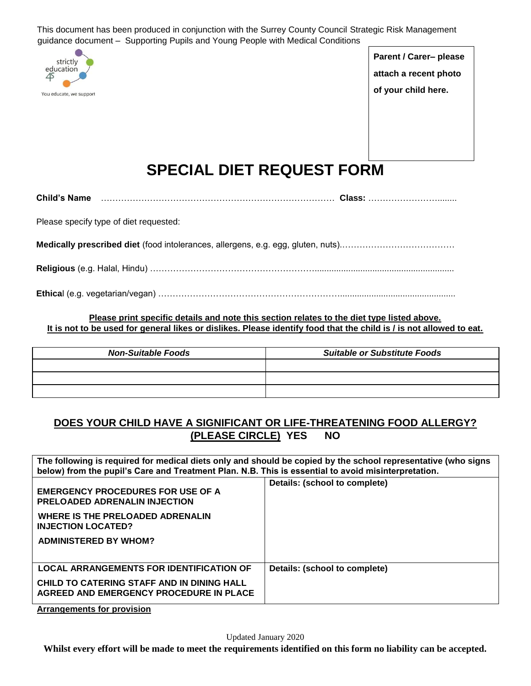This document has been produced in conjunction with the Surrey County Council Strategic Risk Management guidance document – Supporting Pupils and Young People with Medical Conditions



**Parent / Carer– please attach a recent photo of your child here.** 

# **SPECIAL DIET REQUEST FORM**

| <b>Child's Name</b> |  |  |
|---------------------|--|--|
|---------------------|--|--|

Please specify type of diet requested:

**Medically prescribed diet** (food intolerances, allergens, e.g. egg, gluten, nuts).…………………………………

**Religious** (e.g. Halal, Hindu) …………………………………………………..........................................................

**Ethica**l (e.g. vegetarian/vegan) ………………………………………………………................................................

**Please print specific details and note this section relates to the diet type listed above. It is not to be used for general likes or dislikes. Please identify food that the child is / is not allowed to eat.**

| <b>Non-Suitable Foods</b> | <b>Suitable or Substitute Foods</b> |
|---------------------------|-------------------------------------|
|                           |                                     |
|                           |                                     |
|                           |                                     |

## **DOES YOUR CHILD HAVE A SIGNIFICANT OR LIFE-THREATENING FOOD ALLERGY? (PLEASE CIRCLE) YES NO**

**The following is required for medical diets only and should be copied by the school representative (who signs below) from the pupil's Care and Treatment Plan. N.B. This is essential to avoid misinterpretation. EMERGENCY PROCEDURES FOR USE OF A PRELOADED ADRENALIN INJECTION WHERE IS THE PRELOADED ADRENALIN INJECTION LOCATED? ADMINISTERED BY WHOM? Details: (school to complete) LOCAL ARRANGEMENTS FOR IDENTIFICATION OF CHILD TO CATERING STAFF AND IN DINING HALL AGREED AND EMERGENCY PROCEDURE IN PLACE Details: (school to complete)** 

**Arrangements for provision**

**Whilst every effort will be made to meet the requirements identified on this form no liability can be accepted.**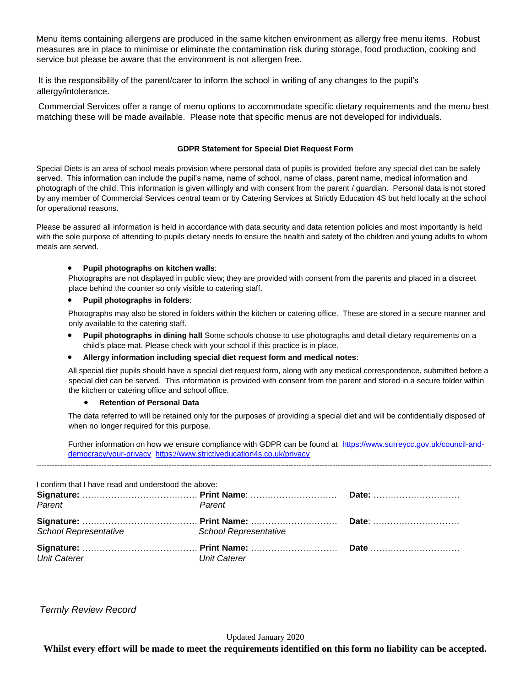Menu items containing allergens are produced in the same kitchen environment as allergy free menu items. Robust measures are in place to minimise or eliminate the contamination risk during storage, food production, cooking and service but please be aware that the environment is not allergen free.

It is the responsibility of the parent/carer to inform the school in writing of any changes to the pupil's allergy/intolerance.

Commercial Services offer a range of menu options to accommodate specific dietary requirements and the menu best matching these will be made available. Please note that specific menus are not developed for individuals.

#### **GDPR Statement for Special Diet Request Form**

Special Diets is an area of school meals provision where personal data of pupils is provided before any special diet can be safely served. This information can include the pupil's name, name of school, name of class, parent name, medical information and photograph of the child. This information is given willingly and with consent from the parent / guardian. Personal data is not stored by any member of Commercial Services central team or by Catering Services at Strictly Education 4S but held locally at the school for operational reasons.

Please be assured all information is held in accordance with data security and data retention policies and most importantly is held with the sole purpose of attending to pupils dietary needs to ensure the health and safety of the children and young adults to whom meals are served.

#### **Pupil photographs on kitchen walls**:

Photographs are not displayed in public view; they are provided with consent from the parents and placed in a discreet place behind the counter so only visible to catering staff.

### **Pupil photographs in folders**:

Photographs may also be stored in folders within the kitchen or catering office. These are stored in a secure manner and only available to the catering staff.

 **Pupil photographs in dining hall** Some schools choose to use photographs and detail dietary requirements on a child's place mat. Please check with your school if this practice is in place.

#### **Allergy information including special diet request form and medical notes**:

All special diet pupils should have a special diet request form, along with any medical correspondence, submitted before a special diet can be served. This information is provided with consent from the parent and stored in a secure folder within the kitchen or catering office and school office.

#### **Retention of Personal Data**

The data referred to will be retained only for the purposes of providing a special diet and will be confidentially disposed of when no longer required for this purpose.

Further information on how we ensure compliance with GDPR can be found at [https://www.surreycc.gov.uk/council-and](https://www.surreycc.gov.uk/council-and-democracy/your-privacy)[democracy/your-privacy](https://www.surreycc.gov.uk/council-and-democracy/your-privacy) <https://www.strictlyeducation4s.co.uk/privacy>

-------------------------------------------------------------------------------------------------------------------------------------------------------------------------------

I confirm that I have read and understood the above: **Signature:** …………………………………. **Print Name**: ………………………… *Parent Parent* **Date:** ………………………… **Signature:** …………………………………. **Print Name:** ………………………… **Date**: ………………………… *School Representative School Representative*  **Signature:** …………………………………. **Print Name:** ………………………… **Date** …………………………. *Unit Caterer Unit Caterer* 

*Termly Review Record* 

Updated January 2020

**Whilst every effort will be made to meet the requirements identified on this form no liability can be accepted.**